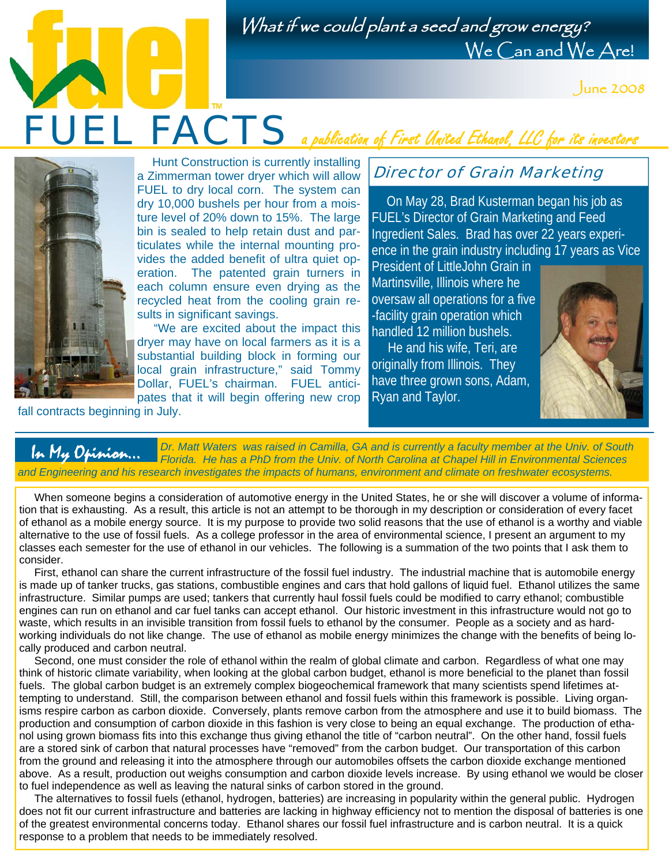What if we could plant a seed and grow energy? We Can and We Are!



FUEL FACTS a publication of First United Ethanol, LLC for its investors



 Hunt Construction is currently installing a Zimmerman tower dryer which will allow FUEL to dry local corn. The system can dry 10,000 bushels per hour from a moisture level of 20% down to 15%. The large bin is sealed to help retain dust and particulates while the internal mounting provides the added benefit of ultra quiet operation. The patented grain turners in each column ensure even drying as the recycled heat from the cooling grain results in significant savings.

 "We are excited about the impact this dryer may have on local farmers as it is a substantial building block in forming our local grain infrastructure," said Tommy Dollar, FUEL's chairman. FUEL anticipates that it will begin offering new crop

fall contracts beginning in July.

## Director of Grain Marketing

 On May 28, Brad Kusterman began his job as FUEL's Director of Grain Marketing and Feed Ingredient Sales. Brad has over 22 years experience in the grain industry including 17 years as Vice

President of LittleJohn Grain in Martinsville, Illinois where he oversaw all operations for a five -facility grain operation which handled 12 million bushels.

 He and his wife, Teri, are originally from Illinois. They have three grown sons, Adam, Ryan and Taylor.



*Dr. Matt Waters was raised in Camilla, GA and is currently a faculty member at the Univ. of South Florida. He has a PhD from the Univ. of North Carolina at Chapel Hill in Environmental Sciences and Engineering and his research investigates the impacts of humans, environment and climate on freshwater ecosystems.*  In My Opinion...

 When someone begins a consideration of automotive energy in the United States, he or she will discover a volume of information that is exhausting. As a result, this article is not an attempt to be thorough in my description or consideration of every facet of ethanol as a mobile energy source. It is my purpose to provide two solid reasons that the use of ethanol is a worthy and viable alternative to the use of fossil fuels. As a college professor in the area of environmental science, I present an argument to my classes each semester for the use of ethanol in our vehicles. The following is a summation of the two points that I ask them to consider.

 First, ethanol can share the current infrastructure of the fossil fuel industry. The industrial machine that is automobile energy is made up of tanker trucks, gas stations, combustible engines and cars that hold gallons of liquid fuel. Ethanol utilizes the same infrastructure. Similar pumps are used; tankers that currently haul fossil fuels could be modified to carry ethanol; combustible engines can run on ethanol and car fuel tanks can accept ethanol. Our historic investment in this infrastructure would not go to waste, which results in an invisible transition from fossil fuels to ethanol by the consumer. People as a society and as hardworking individuals do not like change. The use of ethanol as mobile energy minimizes the change with the benefits of being locally produced and carbon neutral.

 Second, one must consider the role of ethanol within the realm of global climate and carbon. Regardless of what one may think of historic climate variability, when looking at the global carbon budget, ethanol is more beneficial to the planet than fossil fuels. The global carbon budget is an extremely complex biogeochemical framework that many scientists spend lifetimes attempting to understand. Still, the comparison between ethanol and fossil fuels within this framework is possible. Living organisms respire carbon as carbon dioxide. Conversely, plants remove carbon from the atmosphere and use it to build biomass. The production and consumption of carbon dioxide in this fashion is very close to being an equal exchange. The production of ethanol using grown biomass fits into this exchange thus giving ethanol the title of "carbon neutral". On the other hand, fossil fuels are a stored sink of carbon that natural processes have "removed" from the carbon budget. Our transportation of this carbon from the ground and releasing it into the atmosphere through our automobiles offsets the carbon dioxide exchange mentioned above. As a result, production out weighs consumption and carbon dioxide levels increase. By using ethanol we would be closer to fuel independence as well as leaving the natural sinks of carbon stored in the ground.

 The alternatives to fossil fuels (ethanol, hydrogen, batteries) are increasing in popularity within the general public. Hydrogen does not fit our current infrastructure and batteries are lacking in highway efficiency not to mention the disposal of batteries is one of the greatest environmental concerns today. Ethanol shares our fossil fuel infrastructure and is carbon neutral. It is a quick response to a problem that needs to be immediately resolved.